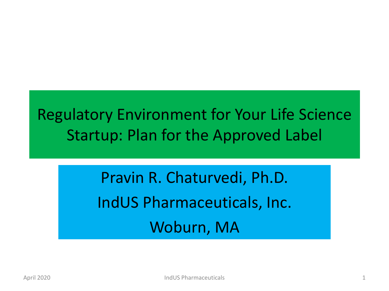# Regulatory Environment for Your Life Science Startup: Plan for the Approved Label

Pravin R. Chaturvedi, Ph.D. IndUS Pharmaceuticals, Inc. Woburn, MA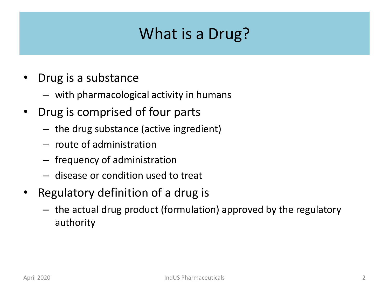## What is a Drug?

- Drug is a substance
	- with pharmacological activity in humans
- Drug is comprised of four parts
	- the drug substance (active ingredient)
	- route of administration
	- frequency of administration
	- disease or condition used to treat
- Regulatory definition of a drug is
	- the actual drug product (formulation) approved by the regulatory authority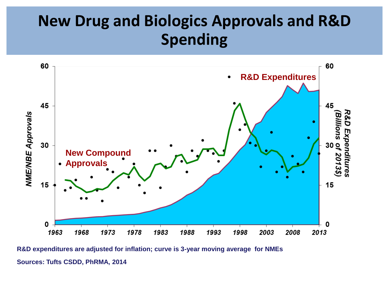## **New Drug and Biologics Approvals and R&D Spending**



**Sources: Tufts CSDD, PhRMA, 2014 R&D expenditures are adjusted for inflation; curve is 3-year moving average for NMEs**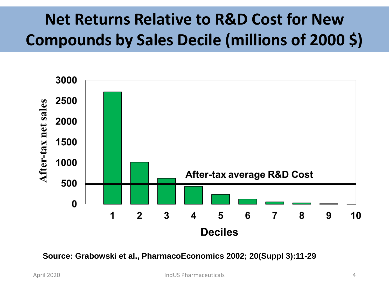# **Net Returns Relative to R&D Cost for New Compounds by Sales Decile (millions of 2000 \$)**



**Source: Grabowski et al., PharmacoEconomics 2002; 20(Suppl 3):11-29**

April 2020 IndUS Pharmaceuticals 4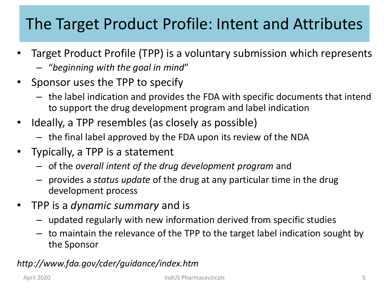# The Target Product Profile: Intent and Attributes

- Target Product Profile (TPP) is a voluntary submission which represents
	- "*beginning with the goal in mind*"
- Sponsor uses the TPP to specify
	- the label indication and provides the FDA with specific documents that intend to support the drug development program and label indication
- Ideally, a TPP resembles (as closely as possible)
	- the final label approved by the FDA upon its review of the NDA
- Typically, a TPP is a statement
	- of the *overall intent of the drug development program* and
	- provides a *status update* of the drug at any particular time in the drug development process
- TPP is a *dynamic summary* and is
	- updated regularly with new information derived from specific studies
	- to maintain the relevance of the TPP to the target label indication sought by the Sponsor

#### *http://www.fda.gov/cder/guidance/index.htm*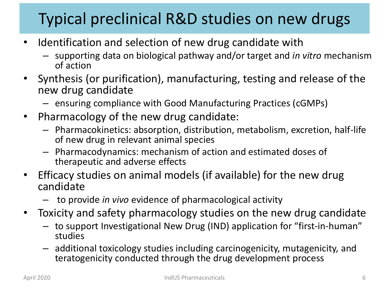# Typical preclinical R&D studies on new drugs

- Identification and selection of new drug candidate with
	- supporting data on biological pathway and/or target and *in vitro* mechanism of action
- Synthesis (or purification), manufacturing, testing and release of the new drug candidate
	- ensuring compliance with Good Manufacturing Practices (cGMPs)
- Pharmacology of the new drug candidate:
	- Pharmacokinetics: absorption, distribution, metabolism, excretion, half-life of new drug in relevant animal species
	- Pharmacodynamics: mechanism of action and estimated doses of therapeutic and adverse effects
- Efficacy studies on animal models (if available) for the new drug candidate
	- to provide *in vivo* evidence of pharmacological activity
- Toxicity and safety pharmacology studies on the new drug candidate
	- to support Investigational New Drug (IND) application for "first-in-human" studies
	- additional toxicology studies including carcinogenicity, mutagenicity, and teratogenicity conducted through the drug development process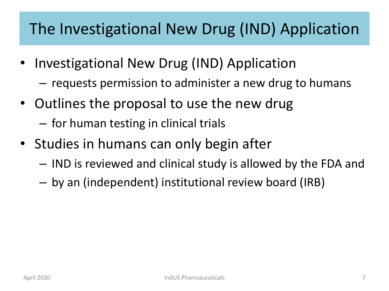## The Investigational New Drug (IND) Application

- Investigational New Drug (IND) Application
	- requests permission to administer a new drug to humans
- Outlines the proposal to use the new drug
	- for human testing in clinical trials
- Studies in humans can only begin after
	- IND is reviewed and clinical study is allowed by the FDA and
	- by an (independent) institutional review board (IRB)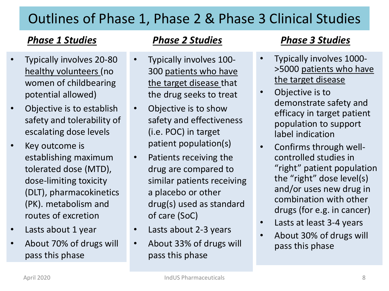#### Outlines of Phase 1, Phase 2 & Phase 3 Clinical Studies

#### *Phase 1 Studies Phase 2 Studies Phase 3 Studies*

- Typically involves 20-80 healthy volunteers (no women of childbearing potential allowed)
- Objective is to establish safety and tolerability of escalating dose levels
- Key outcome is establishing maximum tolerated dose (MTD), dose-limiting toxicity (DLT), pharmacokinetics (PK). metabolism and routes of excretion
- Lasts about 1 year
- About 70% of drugs will pass this phase

- Typically involves 100- 300 patients who have the target disease that the drug seeks to treat
- Objective is to show safety and effectiveness (i.e. POC) in target patient population(s)
- Patients receiving the drug are compared to similar patients receiving a placebo or other drug(s) used as standard of care (SoC)
- Lasts about 2-3 years
- About 33% of drugs will pass this phase

- Typically involves 1000- >5000 patients who have the target disease
- Objective is to demonstrate safety and efficacy in target patient population to support label indication
- Confirms through wellcontrolled studies in "right" patient population the "right" dose level(s) and/or uses new drug in combination with other drugs (for e.g. in cancer)
- Lasts at least 3-4 years
- About 30% of drugs will pass this phase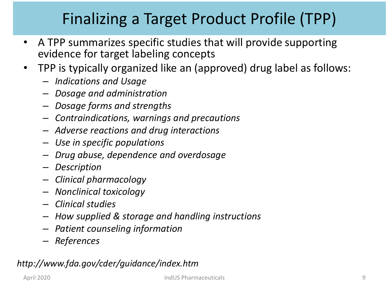# Finalizing a Target Product Profile (TPP)

- A TPP summarizes specific studies that will provide supporting evidence for target labeling concepts
- TPP is typically organized like an (approved) drug label as follows:
	- *Indications and Usage*
	- *Dosage and administration*
	- *Dosage forms and strengths*
	- *Contraindications, warnings and precautions*
	- *Adverse reactions and drug interactions*
	- *Use in specific populations*
	- *Drug abuse, dependence and overdosage*
	- *Description*
	- *Clinical pharmacology*
	- *Nonclinical toxicology*
	- *Clinical studies*
	- *How supplied & storage and handling instructions*
	- *Patient counseling information*
	- *References*

#### *http://www.fda.gov/cder/guidance/index.htm*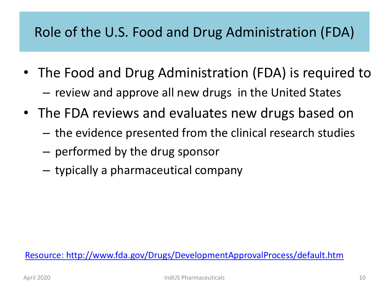#### Role of the U.S. Food and Drug Administration (FDA)

- The Food and Drug Administration (FDA) is required to – review and approve all new drugs in the United States
- The FDA reviews and evaluates new drugs based on
	- the evidence presented from the clinical research studies
	- performed by the drug sponsor
	- typically a pharmaceutical company

[Resource: http://www.fda.gov/Drugs/DevelopmentApprovalProcess/default.htm](http://www.fda.gov/Drugs/DevelopmentApprovalProcess/default.htm)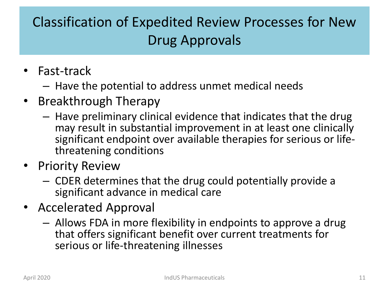### Classification of Expedited Review Processes for New Drug Approvals

- Fast-track
	- Have the potential to address unmet medical needs
- Breakthrough Therapy
	- Have preliminary clinical evidence that indicates that the drug may result in substantial improvement in at least one clinically significant endpoint over available therapies for serious or lifethreatening conditions
- Priority Review
	- CDER determines that the drug could potentially provide a significant advance in medical care
- Accelerated Approval
	- Allows FDA in more flexibility in endpoints to approve a drug that offers significant benefit over current treatments for serious or life-threatening illnesses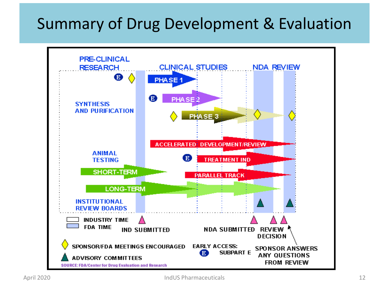### Summary of Drug Development & Evaluation

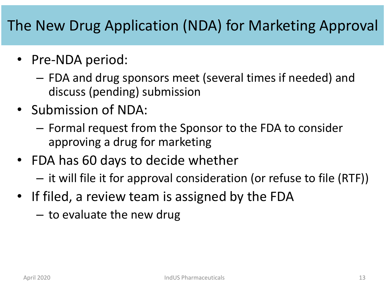#### The New Drug Application (NDA) for Marketing Approval

- Pre-NDA period:
	- FDA and drug sponsors meet (several times if needed) and discuss (pending) submission
- Submission of NDA:
	- Formal request from the Sponsor to the FDA to consider approving a drug for marketing
- FDA has 60 days to decide whether
	- it will file it for approval consideration (or refuse to file (RTF))
- If filed, a review team is assigned by the FDA
	- to evaluate the new drug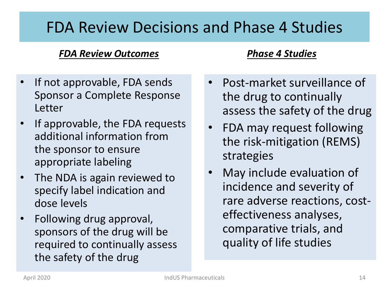#### FDA Review Decisions and Phase 4 Studies

#### *FDA Review Outcomes Phase 4 Studies*

- If not approvable, FDA sends Sponsor a Complete Response Letter
- If approvable, the FDA requests additional information from the sponsor to ensure appropriate labeling
- The NDA is again reviewed to specify label indication and dose levels
- Following drug approval, sponsors of the drug will be required to continually assess the safety of the drug

- Post-market surveillance of the drug to continually assess the safety of the drug
- FDA may request following the risk-mitigation (REMS) strategies
- May include evaluation of incidence and severity of rare adverse reactions, costeffectiveness analyses, comparative trials, and quality of life studies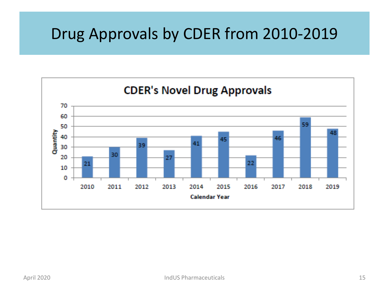### Drug Approvals by CDER from 2010-2019